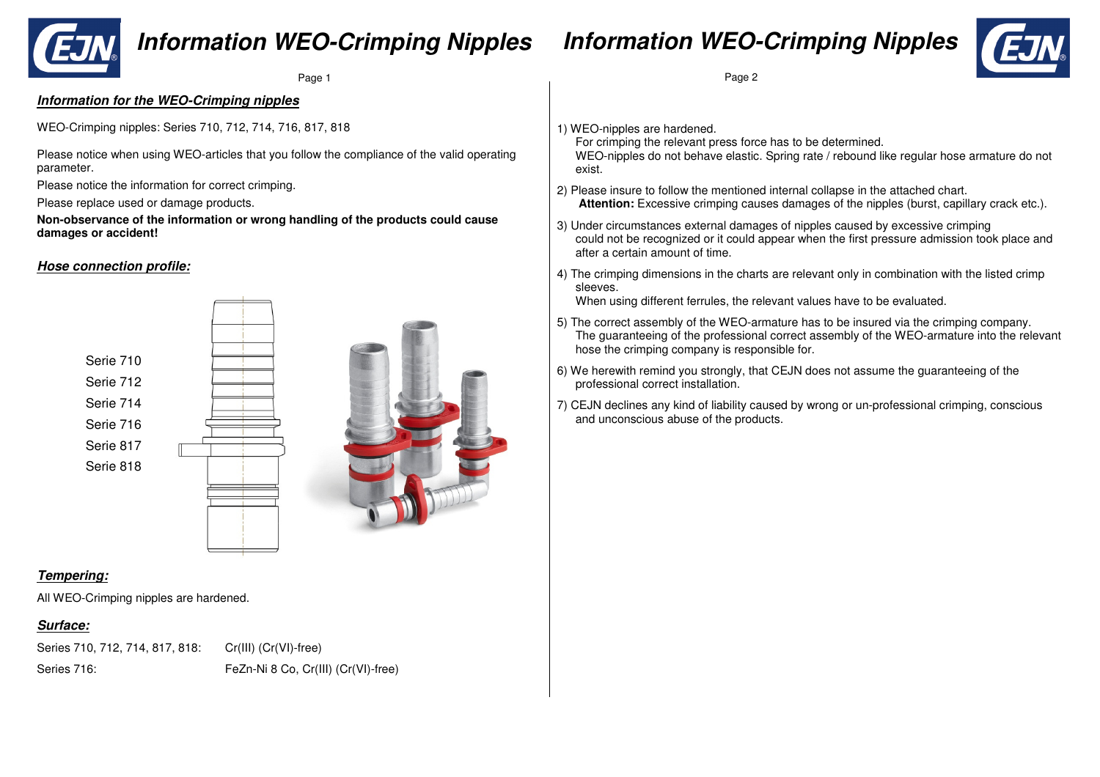

## **Information WEO-Crimping Nipples**

### **Information WEO-Crimping Nipples**



Page 1

#### **Information for the WEO-Crimping nipples**

WEO-Crimping nipples: Series 710, 712, 714, 716, 817, 818

Please notice when using WEO-articles that you follow the compliance of the valid operating parameter.

Please notice the information for correct crimping.

Please replace used or damage products.

**Non-observance of the information or wrong handling of the products could cause damages or accident!** 

#### **Hose connection profile:**





#### **Tempering:**

All WEO-Crimping nipples are hardened.

#### **Surface:**

Series 710, 712, 714, 817, 818: Cr(III) (Cr(VI)-free) Series 716: FeZn-Ni 8 Co, Cr(III) (Cr(VI)-free)

#### e 1 Page 2

1) WEO-nipples are hardened.

 For crimping the relevant press force has to be determined. WEO-nipples do not behave elastic. Spring rate / rebound like regular hose armature do not exist.

- 2) Please insure to follow the mentioned internal collapse in the attached chart. **Attention:** Excessive crimping causes damages of the nipples (burst, capillary crack etc.).
- 3) Under circumstances external damages of nipples caused by excessive crimping could not be recognized or it could appear when the first pressure admission took place and after a certain amount of time.
- 4) The crimping dimensions in the charts are relevant only in combination with the listed crimp sleeves.

When using different ferrules, the relevant values have to be evaluated.

- 5) The correct assembly of the WEO-armature has to be insured via the crimping company. The guaranteeing of the professional correct assembly of the WEO-armature into the relevant hose the crimping company is responsible for.
- 6) We herewith remind you strongly, that CEJN does not assume the guaranteeing of the professional correct installation.
- 7) CEJN declines any kind of liability caused by wrong or un-professional crimping, conscious and unconscious abuse of the products.